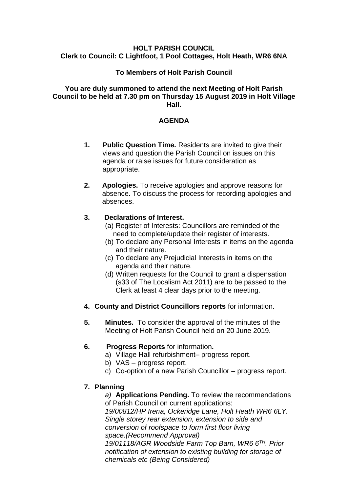#### **HOLT PARISH COUNCIL Clerk to Council: C Lightfoot, 1 Pool Cottages, Holt Heath, WR6 6NA**

### **To Members of Holt Parish Council**

#### **You are duly summoned to attend the next Meeting of Holt Parish Council to be held at 7.30 pm on Thursday 15 August 2019 in Holt Village Hall.**

### **AGENDA**

- **1. Public Question Time.** Residents are invited to give their views and question the Parish Council on issues on this agenda or raise issues for future consideration as appropriate.
- **2. Apologies.** To receive apologies and approve reasons for absence. To discuss the process for recording apologies and absences.

### **3. Declarations of Interest.**

- (a) Register of Interests: Councillors are reminded of the need to complete/update their register of interests.
- (b) To declare any Personal Interests in items on the agenda and their nature.
- (c) To declare any Prejudicial Interests in items on the agenda and their nature.
- (d) Written requests for the Council to grant a dispensation (s33 of The Localism Act 2011) are to be passed to the Clerk at least 4 clear days prior to the meeting.
- **4. County and District Councillors reports** for information.
- **5. Minutes.** To consider the approval of the minutes of the Meeting of Holt Parish Council held on 20 June 2019.

# **6. Progress Reports** for information**.**

- a) Village Hall refurbishment– progress report.
- b) VAS progress report.
- c) Co-option of a new Parish Councillor progress report.

# **7. Planning**

*a)* **Applications Pending.** To review the recommendations of Parish Council on current applications:

*19/00812/HP Irena, Ockeridge Lane, Holt Heath WR6 6LY. Single storey rear extension, extension to side and conversion of roofspace to form first floor living space.(Recommend Approval) 19/01118/AGR Woodside Farm Top Barn, WR6 6TH. Prior* 

*notification of extension to existing building for storage of chemicals etc (Being Considered)*